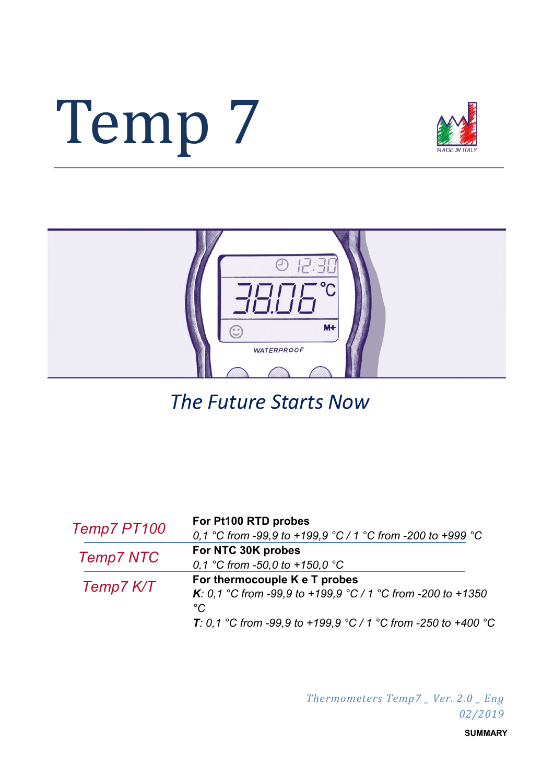# Temp 7





*The Future Starts Now*

| Temp7 PT100      | For Pt100 RTD probes                                                |
|------------------|---------------------------------------------------------------------|
|                  | 0,1 °C from -99,9 to +199,9 °C / 1 °C from -200 to +999 °C          |
| <b>Temp7 NTC</b> | For NTC 30K probes                                                  |
|                  | 0,1 °C from -50,0 to +150,0 °C                                      |
|                  | For thermocouple K e T probes                                       |
| Temp7 K/T        | <b>K</b> : 0,1 °C from -99,9 to +199,9 °C / 1 °C from -200 to +1350 |
|                  | $^{\circ}C$                                                         |
|                  | T: 0,1 °C from -99,9 to +199,9 °C / 1 °C from -250 to +400 °C       |

*Thermometers Temp7 \_ Ver. 2.0 \_ Eng 02/2019*

**SUMMARY**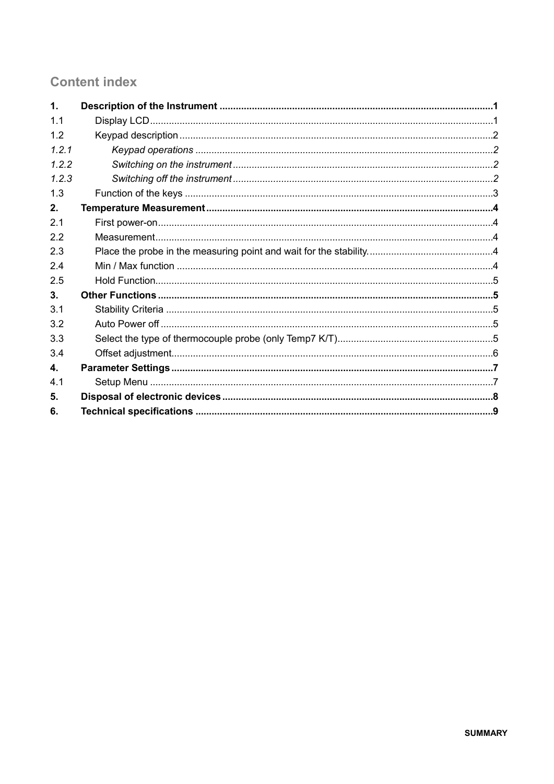# **Content index**

| $\mathbf 1$ .  |  |
|----------------|--|
| 1 <sub>1</sub> |  |
| 1.2            |  |
| 1.2.1          |  |
| 1.2.2          |  |
| 1.2.3          |  |
| 1.3            |  |
| 2.             |  |
| 2.1            |  |
| 2.2            |  |
| 2.3            |  |
| 2.4            |  |
| 2.5            |  |
| 3.             |  |
| 3.1            |  |
| 3.2            |  |
| 3.3            |  |
| 3.4            |  |
| 4.             |  |
| 4.1            |  |
| 5.             |  |
| 6.             |  |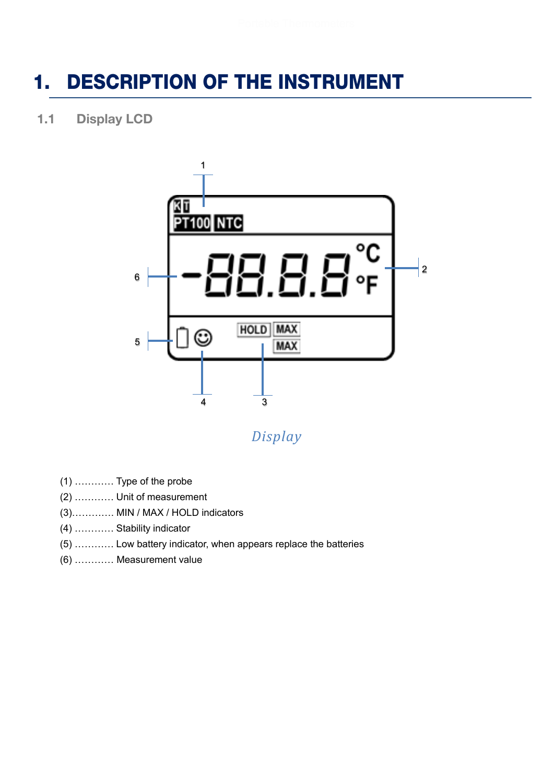# <span id="page-2-0"></span>1. DESCRIPTION OF THE INSTRUMENT

<span id="page-2-1"></span>1.1 Display LCD



*Display*

- (1) ………… Type of the probe
- (2) ………… Unit of measurement
- (3)…………. MIN / MAX / HOLD indicators
- (4) ………… Stability indicator
- (5) ………… Low battery indicator, when appears replace the batteries
- (6) ………… Measurement value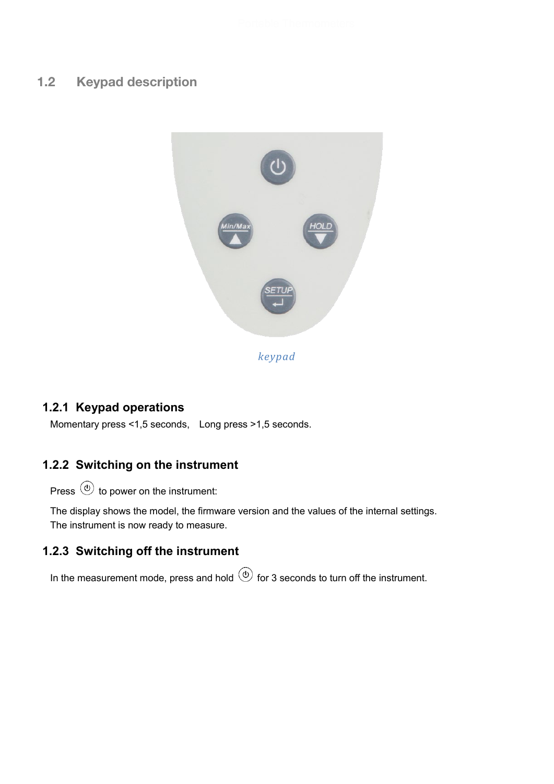# <span id="page-3-0"></span>1.2 Keypad description



## <span id="page-3-1"></span>**1.2.1 Keypad operations**

Momentary press <1,5 seconds, Long press >1,5 seconds.

# <span id="page-3-2"></span>**1.2.2 Switching on the instrument**

Press  $\circledcirc$  to power on the instrument:

The display shows the model, the firmware version and the values of the internal settings. The instrument is now ready to measure.

## <span id="page-3-3"></span>**1.2.3 Switching off the instrument**

In the measurement mode, press and hold  $\circledcirc$  for 3 seconds to turn off the instrument.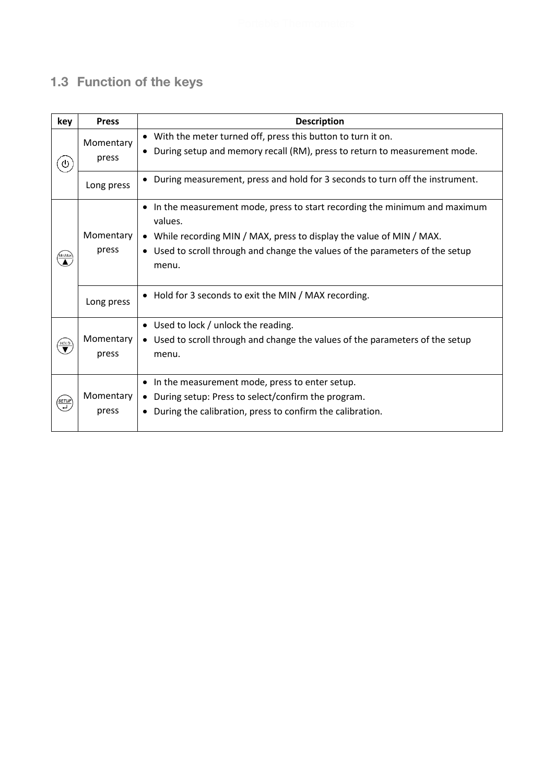# <span id="page-4-0"></span>1.3 Function of the keys

| key                                                              | <b>Press</b>       | <b>Description</b>                                                                                                                                                                                                                |  |  |
|------------------------------------------------------------------|--------------------|-----------------------------------------------------------------------------------------------------------------------------------------------------------------------------------------------------------------------------------|--|--|
| $\boldsymbol{\theta}$                                            | Momentary<br>press | • With the meter turned off, press this button to turn it on.<br>During setup and memory recall (RM), press to return to measurement mode.                                                                                        |  |  |
|                                                                  | Long press         | During measurement, press and hold for 3 seconds to turn off the instrument.                                                                                                                                                      |  |  |
| $\bullet$<br>values.<br>Momentary<br>$\bullet$<br>press<br>menu. |                    | In the measurement mode, press to start recording the minimum and maximum<br>While recording MIN / MAX, press to display the value of MIN / MAX.<br>• Used to scroll through and change the values of the parameters of the setup |  |  |
|                                                                  | Long press         | • Hold for 3 seconds to exit the MIN / MAX recording.                                                                                                                                                                             |  |  |
| $\overline{\blacktriangledown}$                                  | Momentary<br>press | • Used to lock / unlock the reading.<br>Used to scroll through and change the values of the parameters of the setup<br>$\bullet$<br>menu.                                                                                         |  |  |
| (setup<br>קובר                                                   | Momentary<br>press | In the measurement mode, press to enter setup.<br>$\bullet$<br>During setup: Press to select/confirm the program.<br>$\bullet$<br>During the calibration, press to confirm the calibration.<br>٠                                  |  |  |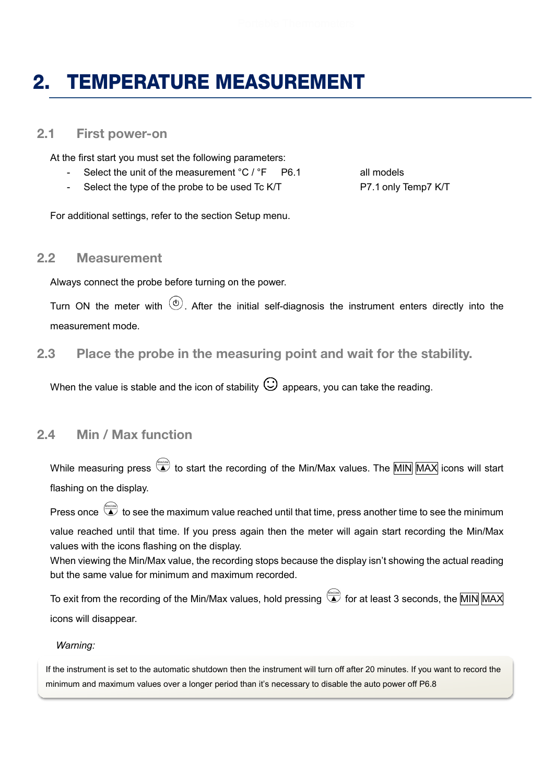# <span id="page-5-0"></span>2. TEMPERATURE MEASUREMENT

#### <span id="page-5-1"></span>2.1 First power-on

At the first start you must set the following parameters:

- Select the unit of the measurement °C / °F P6.1 all models
- Select the type of the probe to be used Tc K/T P7.1 only Temp7 K/T

For additional settings, refer to the section Setup menu.

#### <span id="page-5-2"></span>2.2 Measurement

Always connect the probe before turning on the power.

Turn ON the meter with  $\circled{0}$ . After the initial self-diagnosis the instrument enters directly into the measurement mode.

<span id="page-5-3"></span>2.3 Place the probe in the measuring point and wait for the stability.

When the value is stable and the icon of stability  $\bigodot$  appears, you can take the reading.

#### <span id="page-5-4"></span>2.4 Min / Max function

While measuring press  $\overline{\bullet}$  to start the recording of the Min/Max values. The MIN MAX icons will start flashing on the display.

Press once  $\overline{a}$  to see the maximum value reached until that time, press another time to see the minimum value reached until that time. If you press again then the meter will again start recording the Min/Max values with the icons flashing on the display.

When viewing the Min/Max value, the recording stops because the display isn't showing the actual reading but the same value for minimum and maximum recorded.

To exit from the recording of the Min/Max values, hold pressing  $\overset{\text{(final)}}{\blacktriangle}$  for at least 3 seconds, the MIN MAX icons will disappear.

#### *Warning:*

If the instrument is set to the automatic shutdown then the instrument will turn off after 20 minutes. If you want to record the minimum and maximum values over a longer period than it's necessary to disable the auto power off P6.8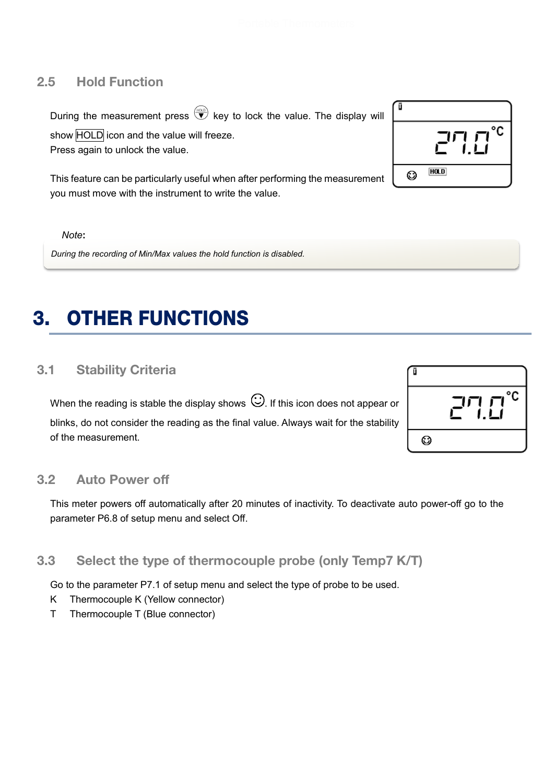## <span id="page-6-0"></span>2.5 Hold Function

During the measurement press  $\overline{\mathbf{v}}$  key to lock the value. The display will show **HOLD** icon and the value will freeze. Press again to unlock the value.

This feature can be particularly useful when after performing the measurement you must move with the instrument to write the value.

*Note***:**

*During the recording of Min/Max values the hold function is disabled.*

# <span id="page-6-1"></span>**OTHER FUNCTIONS**

## <span id="page-6-2"></span>3.1 Stability Criteria

When the reading is stable the display shows  $\mathbb{G}_{\cdot}$  If this icon does not appear or blinks, do not consider the reading as the final value. Always wait for the stability of the measurement.

<span id="page-6-3"></span>

|  | $3.2\,$ |  | <b>Auto Power off</b> |  |
|--|---------|--|-----------------------|--|
|--|---------|--|-----------------------|--|

This meter powers off automatically after 20 minutes of inactivity. To deactivate auto power-off go to the parameter P6.8 of setup menu and select Off.

## <span id="page-6-4"></span>3.3 Select the type of thermocouple probe (only Temp7 K/T)

Go to the parameter P7.1 of setup menu and select the type of probe to be used.

- K Thermocouple K (Yellow connector)
- T Thermocouple T (Blue connector)



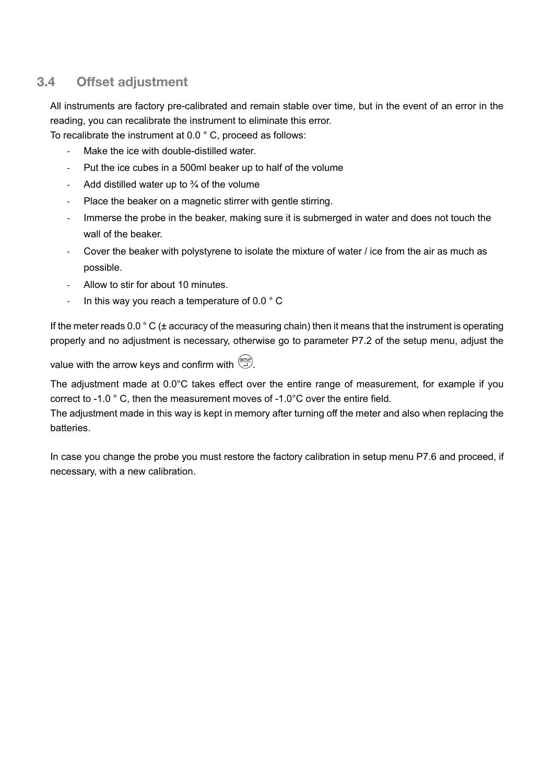# <span id="page-7-0"></span>3.4 Offset adjustment

All instruments are factory pre-calibrated and remain stable over time, but in the event of an error in the reading, you can recalibrate the instrument to eliminate this error.

To recalibrate the instrument at 0.0 ° C, proceed as follows:

- Make the ice with double-distilled water.
- Put the ice cubes in a 500ml beaker up to half of the volume
- Add distilled water up to  $\frac{3}{4}$  of the volume
- Place the beaker on a magnetic stirrer with gentle stirring.
- Immerse the probe in the beaker, making sure it is submerged in water and does not touch the wall of the beaker.
- Cover the beaker with polystyrene to isolate the mixture of water / ice from the air as much as possible.
- Allow to stir for about 10 minutes.
- In this way you reach a temperature of 0.0  $\degree$  C

If the meter reads 0.0 ° C (± accuracy of the measuring chain) then it means that the instrument is operating properly and no adjustment is necessary, otherwise go to parameter P7.2 of the setup menu, adjust the

value with the arrow keys and confirm with  $\overbrace{a}^{\overbrace{\text{SETU}}}.$ 

The adjustment made at 0.0°C takes effect over the entire range of measurement, for example if you correct to -1.0 ° C, then the measurement moves of -1.0°C over the entire field.

The adjustment made in this way is kept in memory after turning off the meter and also when replacing the batteries.

In case you change the probe you must restore the factory calibration in setup menu P7.6 and proceed, if necessary, with a new calibration.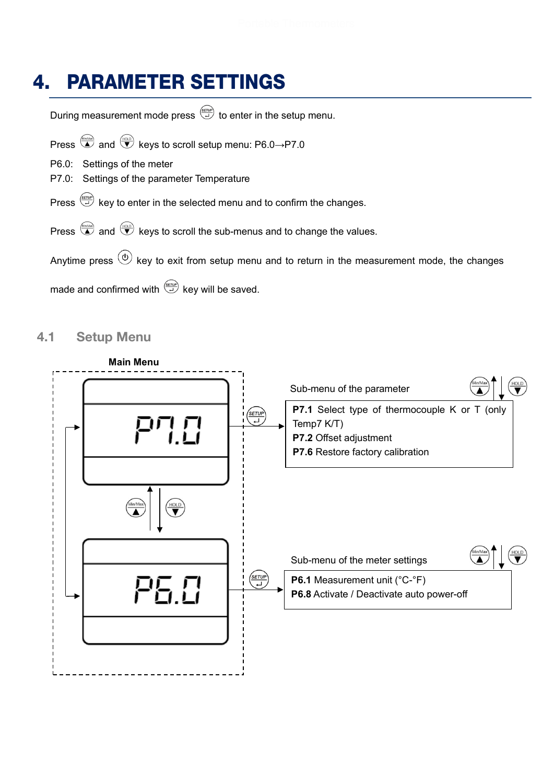# <span id="page-8-0"></span>4. PARAMETER SETTINGS

During measurement mode press  $\overline{\overset{\tiny{\text{gerup}}}{\rightleftarrows}}$  to enter in the setup menu.

Press  $\overline{\bigoplus}$  and  $\overline{\bigoplus}$  keys to scroll setup menu: P6.0→P7.0

P6.0: Settings of the meter

P7.0: Settings of the parameter Temperature

Press  $\stackrel{\text{(saw)}}{\rightarrow}$  key to enter in the selected menu and to confirm the changes.

Press  $\overline{\bigoplus}$  and  $\overline{\bigoplus}$  keys to scroll the sub-menus and to change the values.

Anytime press  $\circledcirc$  key to exit from setup menu and to return in the measurement mode, the changes

made and confirmed with  $\stackrel{\text{(strue)}}{\longrightarrow}$  key will be saved.

#### <span id="page-8-1"></span>4.1 Setup Menu

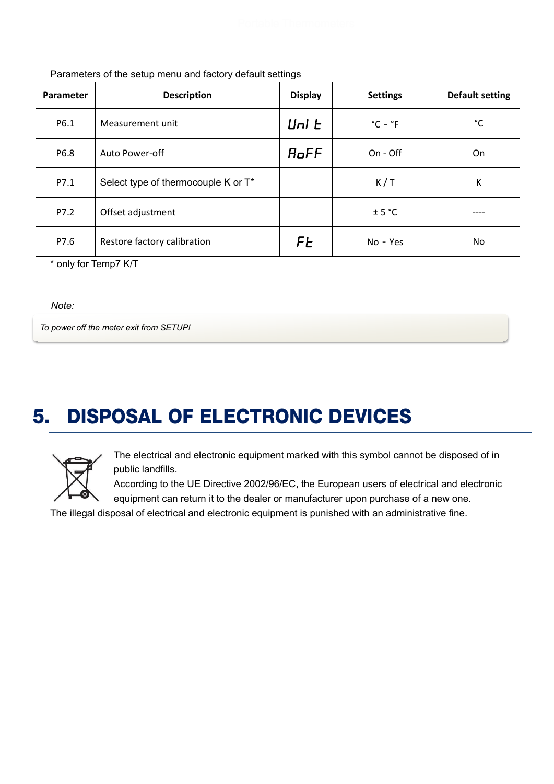| Parameter | <b>Description</b>                  | <b>Display</b>          | <b>Settings</b>             | <b>Default setting</b> |
|-----------|-------------------------------------|-------------------------|-----------------------------|------------------------|
| P6.1      | Measurement unit                    | $\lfloor \ln h \rfloor$ | $^{\circ}$ C - $^{\circ}$ F | °C                     |
| P6.8      | Auto Power-off                      | RoFF                    | $On - Off$                  | On                     |
| P7.1      | Select type of thermocouple K or T* |                         | K/T                         | Κ                      |
| P7.2      | Offset adjustment                   |                         | ± 5 °C                      | ----                   |
| P7.6      | Restore factory calibration         | FE                      | No - Yes                    | No                     |

Parameters of the setup menu and factory default settings

\* only for Temp7 K/T

*Note:*

*To power off the meter exit from SETUP!*

# <span id="page-9-0"></span>5. DISPOSAL OF ELECTRONIC DEVICES



The electrical and electronic equipment marked with this symbol cannot be disposed of in public landfills.

According to the UE Directive 2002/96/EC, the European users of electrical and electronic equipment can return it to the dealer or manufacturer upon purchase of a new one.

The illegal disposal of electrical and electronic equipment is punished with an administrative fine.